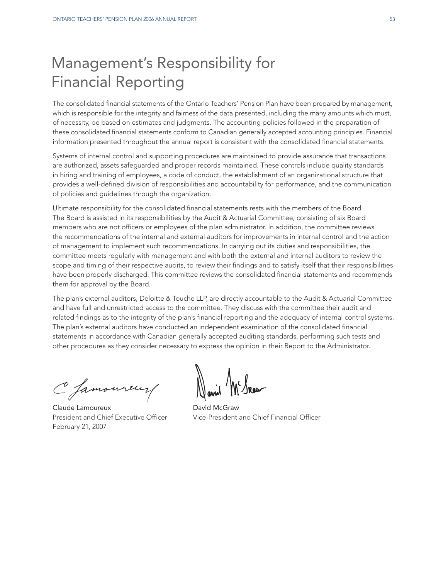# Management's Responsibility for Financial Reporting

The consolidated financial statements of the Ontario Teachers' Pension Plan have been prepared by management, which is responsible for the integrity and fairness of the data presented, including the many amounts which must, of necessity, be based on estimates and judgments. The accounting policies followed in the preparation of these consolidated financial statements conform to Canadian generally accepted accounting principles. Financial information presented throughout the annual report is consistent with the consolidated financial statements.

Systems of internal control and supporting procedures are maintained to provide assurance that transactions are authorized, assets safeguarded and proper records maintained. These controls include quality standards in hiring and training of employees, a code of conduct, the establishment of an organizational structure that provides a well-defined division of responsibilities and accountability for performance, and the communication of policies and guidelines through the organization.

Ultimate responsibility for the consolidated financial statements rests with the members of the Board. The Board is assisted in its responsibilities by the Audit & Actuarial Committee, consisting of six Board members who are not officers or employees of the plan administrator. In addition, the committee reviews the recommendations of the internal and external auditors for improvements in internal control and the action of management to implement such recommendations. In carrying out its duties and responsibilities, the committee meets regularly with management and with both the external and internal auditors to review the scope and timing of their respective audits, to review their findings and to satisfy itself that their responsibilities have been properly discharged. This committee reviews the consolidated financial statements and recommends them for approval by the Board.

The plan's external auditors, Deloitte & Touche LLP, are directly accountable to the Audit & Actuarial Committee and have full and unrestricted access to the committee. They discuss with the committee their audit and related findings as to the integrity of the plan's financial reporting and the adequacy of internal control systems. The plan's external auditors have conducted an independent examination of the consolidated financial statements in accordance with Canadian generally accepted auditing standards, performing such tests and other procedures as they consider necessary to express the opinion in their Report to the Administrator.

C famoureur

Claude Lamoureux **David McGraw** February 21, 2007

President and Chief Executive Officer Vice-President and Chief Financial Officer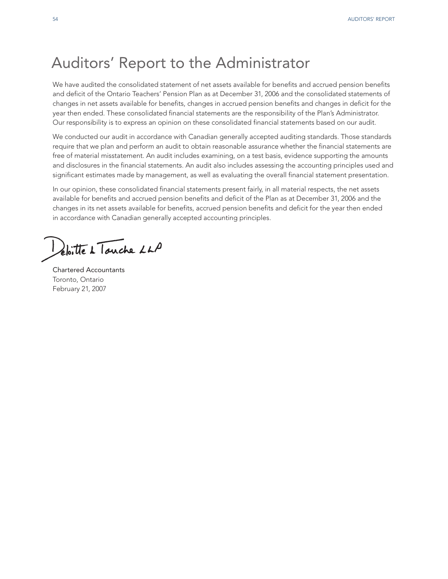# Auditors' Report to the Administrator

We have audited the consolidated statement of net assets available for benefits and accrued pension benefits and deficit of the Ontario Teachers' Pension Plan as at December 31, 2006 and the consolidated statements of changes in net assets available for benefits, changes in accrued pension benefits and changes in deficit for the year then ended. These consolidated financial statements are the responsibility of the Plan's Administrator. Our responsibility is to express an opinion on these consolidated financial statements based on our audit.

We conducted our audit in accordance with Canadian generally accepted auditing standards. Those standards require that we plan and perform an audit to obtain reasonable assurance whether the financial statements are free of material misstatement. An audit includes examining, on a test basis, evidence supporting the amounts and disclosures in the financial statements. An audit also includes assessing the accounting principles used and significant estimates made by management, as well as evaluating the overall financial statement presentation.

In our opinion, these consolidated financial statements present fairly, in all material respects, the net assets available for benefits and accrued pension benefits and deficit of the Plan as at December 31, 2006 and the changes in its net assets available for benefits, accrued pension benefits and deficit for the year then ended in accordance with Canadian generally accepted accounting principles.

eloitte à Touche LLP

Chartered Accountants Toronto, Ontario February 21, 2007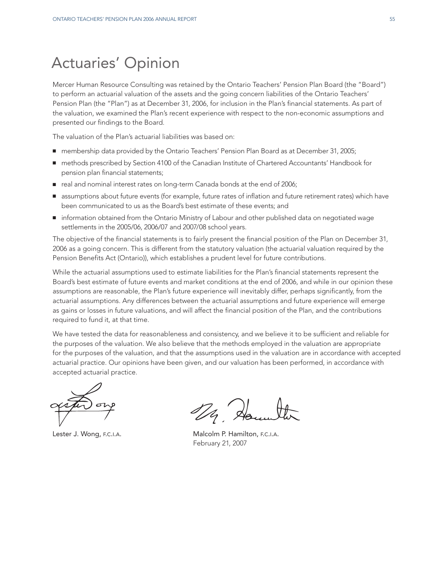# Actuaries' Opinion

Mercer Human Resource Consulting was retained by the Ontario Teachers' Pension Plan Board (the "Board") to perform an actuarial valuation of the assets and the going concern liabilities of the Ontario Teachers' Pension Plan (the "Plan") as at December 31, 2006, for inclusion in the Plan's financial statements. As part of the valuation, we examined the Plan's recent experience with respect to the non-economic assumptions and presented our findings to the Board.

The valuation of the Plan's actuarial liabilities was based on:

- membership data provided by the Ontario Teachers' Pension Plan Board as at December 31, 2005;
- methods prescribed by Section 4100 of the Canadian Institute of Chartered Accountants' Handbook for pension plan financial statements;
- real and nominal interest rates on long-term Canada bonds at the end of 2006;
- **■** assumptions about future events (for example, future rates of inflation and future retirement rates) which have been communicated to us as the Board's best estimate of these events; and
- information obtained from the Ontario Ministry of Labour and other published data on negotiated wage settlements in the 2005/06, 2006/07 and 2007/08 school years.

The objective of the financial statements is to fairly present the financial position of the Plan on December 31, 2006 as a going concern. This is different from the statutory valuation (the actuarial valuation required by the Pension Benefits Act (Ontario)), which establishes a prudent level for future contributions.

While the actuarial assumptions used to estimate liabilities for the Plan's financial statements represent the Board's best estimate of future events and market conditions at the end of 2006, and while in our opinion these assumptions are reasonable, the Plan's future experience will inevitably differ, perhaps significantly, from the actuarial assumptions. Any differences between the actuarial assumptions and future experience will emerge as gains or losses in future valuations, and will affect the financial position of the Plan, and the contributions required to fund it, at that time.

We have tested the data for reasonableness and consistency, and we believe it to be sufficient and reliable for the purposes of the valuation. We also believe that the methods employed in the valuation are appropriate for the purposes of the valuation, and that the assumptions used in the valuation are in accordance with accepted actuarial practice. Our opinions have been given, and our valuation has been performed, in accordance with accepted actuarial practice.

De de

Lester J. Wong, F.C.I.A. Malcolm P. Hamilton, F.C.I.A. February 21, 2007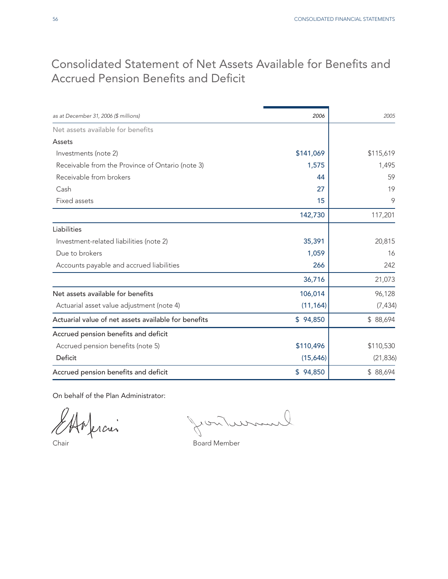## Consolidated Statement of Net Assets Available for Benefits and Accrued Pension Benefits and Deficit

| as at December 31, 2006 (\$ millions)                | 2006      | 2005      |
|------------------------------------------------------|-----------|-----------|
| Net assets available for benefits                    |           |           |
| Assets                                               |           |           |
| Investments (note 2)                                 | \$141,069 | \$115,619 |
| Receivable from the Province of Ontario (note 3)     | 1,575     | 1,495     |
| Receivable from brokers                              | 44        | 59        |
| Cash                                                 | 27        | 19        |
| Fixed assets                                         | 15        | 9         |
|                                                      | 142,730   | 117,201   |
| Liabilities                                          |           |           |
| Investment-related liabilities (note 2)              | 35,391    | 20,815    |
| Due to brokers                                       | 1,059     | 16        |
| Accounts payable and accrued liabilities             | 266       | 242       |
|                                                      | 36,716    | 21,073    |
| Net assets available for benefits                    | 106,014   | 96,128    |
| Actuarial asset value adjustment (note 4)            | (11, 164) | (7, 434)  |
| Actuarial value of net assets available for benefits | \$94,850  | \$88,694  |
| Accrued pension benefits and deficit                 |           |           |
| Accrued pension benefits (note 5)                    | \$110,496 | \$110,530 |
| Deficit                                              | (15,646)  | (21, 836) |
| Accrued pension benefits and deficit                 | \$94,850  | \$88,694  |

On behalf of the Plan Administrator:

ercier

mur  $201$ 

Chair **Chair** Board Member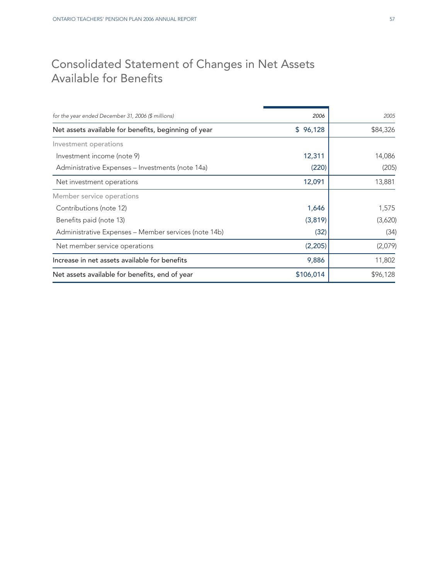## Consolidated Statement of Changes in Net Assets Available for Benefits

| for the year ended December 31, 2006 (\$ millions)   | 2006      | 2005     |
|------------------------------------------------------|-----------|----------|
| Net assets available for benefits, beginning of year | \$96,128  | \$84,326 |
| Investment operations                                |           |          |
| Investment income (note 9)                           | 12,311    | 14,086   |
| Administrative Expenses - Investments (note 14a)     | (220)     | (205)    |
| Net investment operations                            | 12,091    | 13,881   |
| Member service operations                            |           |          |
| Contributions (note 12)                              | 1,646     | 1,575    |
| Benefits paid (note 13)                              | (3,819)   | (3,620)  |
| Administrative Expenses - Member services (note 14b) | (32)      | (34)     |
| Net member service operations                        | (2,205)   | (2,079)  |
| Increase in net assets available for benefits        | 9,886     | 11,802   |
| Net assets available for benefits, end of year       | \$106,014 | \$96,128 |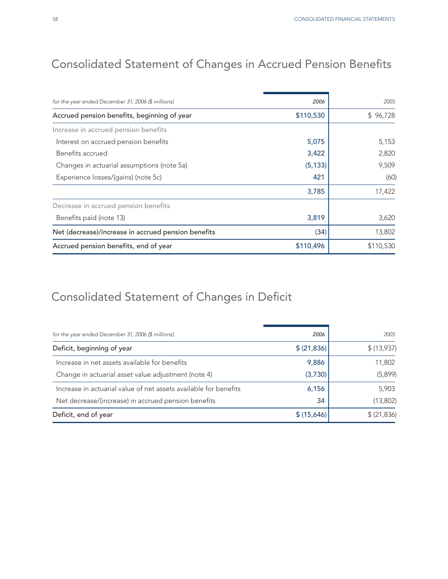# Consolidated Statement of Changes in Accrued Pension Benefits

| for the year ended December 31, 2006 (\$ millions)  | 2006      | 2005      |
|-----------------------------------------------------|-----------|-----------|
| Accrued pension benefits, beginning of year         | \$110,530 | \$96,728  |
| Increase in accrued pension benefits                |           |           |
| Interest on accrued pension benefits                | 5,075     | 5,153     |
| Benefits accrued                                    | 3,422     | 2,820     |
| Changes in actuarial assumptions (note 5a)          | (5, 133)  | 9,509     |
| Experience losses/(gains) (note 5c)                 | 421       | (60)      |
|                                                     | 3,785     | 17,422    |
| Decrease in accrued pension benefits                |           |           |
| Benefits paid (note 13)                             | 3,819     | 3,620     |
| Net (decrease)/increase in accrued pension benefits | (34)      | 13,802    |
| Accrued pension benefits, end of year               | \$110,496 | \$110,530 |

# Consolidated Statement of Changes in Deficit

| for the year ended December 31, 2006 (\$ millions)               | 2006         | 2005        |
|------------------------------------------------------------------|--------------|-------------|
| Deficit, beginning of year                                       | \$ (21, 836) | \$ (13,937) |
| Increase in net assets available for benefits                    | 9,886        | 11,802      |
| Change in actuarial asset value adjustment (note 4)              | (3,730)      | (5,899)     |
| Increase in actuarial value of net assets available for benefits | 6,156        | 5,903       |
| Net decrease/(increase) in accrued pension benefits              | 34           | (13,802)    |
| Deficit, end of year                                             | \$(15,646)   | \$ (21,836) |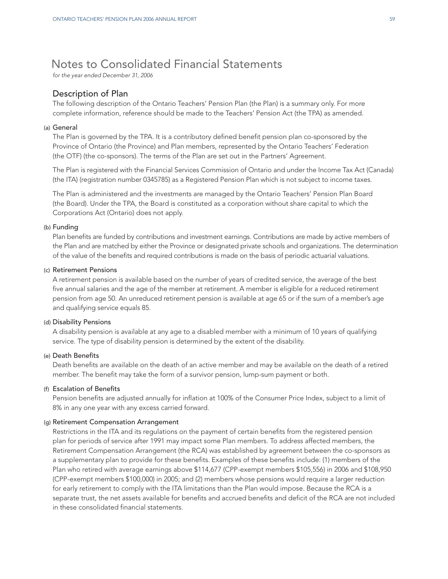## Notes to Consolidated Financial Statements

*for the year ended December 31, 2006*

## Description of Plan

The following description of the Ontario Teachers' Pension Plan (the Plan) is a summary only. For more complete information, reference should be made to the Teachers' Pension Act (the TPA) as amended.

### (a) General

The Plan is governed by the TPA. It is a contributory defined benefit pension plan co-sponsored by the Province of Ontario (the Province) and Plan members, represented by the Ontario Teachers' Federation (the OTF) (the co-sponsors). The terms of the Plan are set out in the Partners' Agreement.

The Plan is registered with the Financial Services Commission of Ontario and under the Income Tax Act (Canada) (the ITA) (registration number 0345785) as a Registered Pension Plan which is not subject to income taxes.

The Plan is administered and the investments are managed by the Ontario Teachers' Pension Plan Board (the Board). Under the TPA, the Board is constituted as a corporation without share capital to which the Corporations Act (Ontario) does not apply.

#### (b) Funding

Plan benefits are funded by contributions and investment earnings. Contributions are made by active members of the Plan and are matched by either the Province or designated private schools and organizations. The determination of the value of the benefits and required contributions is made on the basis of periodic actuarial valuations.

#### (c) Retirement Pensions

A retirement pension is available based on the number of years of credited service, the average of the best five annual salaries and the age of the member at retirement. A member is eligible for a reduced retirement pension from age 50. An unreduced retirement pension is available at age 65 or if the sum of a member's age and qualifying service equals 85.

#### (d) Disability Pensions

A disability pension is available at any age to a disabled member with a minimum of 10 years of qualifying service. The type of disability pension is determined by the extent of the disability.

#### (e) Death Benefits

Death benefits are available on the death of an active member and may be available on the death of a retired member. The benefit may take the form of a survivor pension, lump-sum payment or both.

## (f) Escalation of Benefits

Pension benefits are adjusted annually for inflation at 100% of the Consumer Price Index, subject to a limit of 8% in any one year with any excess carried forward.

### (g) Retirement Compensation Arrangement

Restrictions in the ITA and its regulations on the payment of certain benefits from the registered pension plan for periods of service after 1991 may impact some Plan members. To address affected members, the Retirement Compensation Arrangement (the RCA) was established by agreement between the co-sponsors as a supplementary plan to provide for these benefits. Examples of these benefits include: (1) members of the Plan who retired with average earnings above \$114,677 (CPP-exempt members \$105,556) in 2006 and \$108,950 (CPP-exempt members \$100,000) in 2005; and (2) members whose pensions would require a larger reduction for early retirement to comply with the ITA limitations than the Plan would impose. Because the RCA is a separate trust, the net assets available for benefits and accrued benefits and deficit of the RCA are not included in these consolidated financial statements.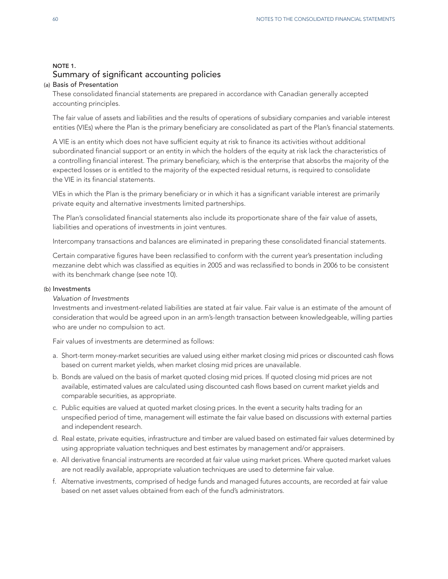## NOTE 1. Summary of significant accounting policies

## (a) Basis of Presentation

These consolidated financial statements are prepared in accordance with Canadian generally accepted accounting principles.

The fair value of assets and liabilities and the results of operations of subsidiary companies and variable interest entities (VIEs) where the Plan is the primary beneficiary are consolidated as part of the Plan's financial statements.

A VIE is an entity which does not have sufficient equity at risk to finance its activities without additional subordinated financial support or an entity in which the holders of the equity at risk lack the characteristics of a controlling financial interest. The primary beneficiary, which is the enterprise that absorbs the majority of the expected losses or is entitled to the majority of the expected residual returns, is required to consolidate the VIE in its financial statements.

VIEs in which the Plan is the primary beneficiary or in which it has a significant variable interest are primarily private equity and alternative investments limited partnerships.

The Plan's consolidated financial statements also include its proportionate share of the fair value of assets, liabilities and operations of investments in joint ventures.

Intercompany transactions and balances are eliminated in preparing these consolidated financial statements.

Certain comparative figures have been reclassified to conform with the current year's presentation including mezzanine debt which was classified as equities in 2005 and was reclassified to bonds in 2006 to be consistent with its benchmark change (see note 10).

### (b) Investments

## *Valuation of Investments*

Investments and investment-related liabilities are stated at fair value. Fair value is an estimate of the amount of consideration that would be agreed upon in an arm's-length transaction between knowledgeable, willing parties who are under no compulsion to act.

Fair values of investments are determined as follows:

- a. Short-term money-market securities are valued using either market closing mid prices or discounted cash flows based on current market yields, when market closing mid prices are unavailable.
- b. Bonds are valued on the basis of market quoted closing mid prices. If quoted closing mid prices are not available, estimated values are calculated using discounted cash flows based on current market yields and comparable securities, as appropriate.
- c. Public equities are valued at quoted market closing prices. In the event a security halts trading for an unspecified period of time, management will estimate the fair value based on discussions with external parties and independent research.
- d. Real estate, private equities, infrastructure and timber are valued based on estimated fair values determined by using appropriate valuation techniques and best estimates by management and/or appraisers.
- e. All derivative financial instruments are recorded at fair value using market prices. Where quoted market values are not readily available, appropriate valuation techniques are used to determine fair value.
- f. Alternative investments, comprised of hedge funds and managed futures accounts, are recorded at fair value based on net asset values obtained from each of the fund's administrators.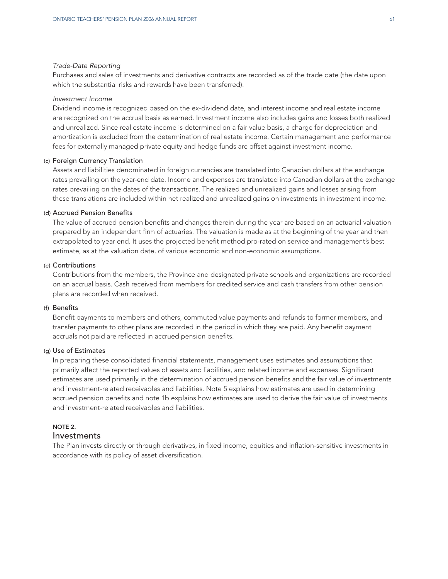#### *Trade-Date Reporting*

Purchases and sales of investments and derivative contracts are recorded as of the trade date (the date upon which the substantial risks and rewards have been transferred).

#### *Investment Income*

Dividend income is recognized based on the ex-dividend date, and interest income and real estate income are recognized on the accrual basis as earned. Investment income also includes gains and losses both realized and unrealized. Since real estate income is determined on a fair value basis, a charge for depreciation and amortization is excluded from the determination of real estate income. Certain management and performance fees for externally managed private equity and hedge funds are offset against investment income.

## (c) Foreign Currency Translation

Assets and liabilities denominated in foreign currencies are translated into Canadian dollars at the exchange rates prevailing on the year-end date. Income and expenses are translated into Canadian dollars at the exchange rates prevailing on the dates of the transactions. The realized and unrealized gains and losses arising from these translations are included within net realized and unrealized gains on investments in investment income.

## (d) Accrued Pension Benefits

The value of accrued pension benefits and changes therein during the year are based on an actuarial valuation prepared by an independent firm of actuaries. The valuation is made as at the beginning of the year and then extrapolated to year end. It uses the projected benefit method pro-rated on service and management's best estimate, as at the valuation date, of various economic and non-economic assumptions.

## (e) Contributions

Contributions from the members, the Province and designated private schools and organizations are recorded on an accrual basis. Cash received from members for credited service and cash transfers from other pension plans are recorded when received.

#### (f) Benefits

Benefit payments to members and others, commuted value payments and refunds to former members, and transfer payments to other plans are recorded in the period in which they are paid. Any benefit payment accruals not paid are reflected in accrued pension benefits.

#### (g) Use of Estimates

In preparing these consolidated financial statements, management uses estimates and assumptions that primarily affect the reported values of assets and liabilities, and related income and expenses. Significant estimates are used primarily in the determination of accrued pension benefits and the fair value of investments and investment-related receivables and liabilities. Note 5 explains how estimates are used in determining accrued pension benefits and note 1b explains how estimates are used to derive the fair value of investments and investment-related receivables and liabilities.

## NOTE 2.

## Investments

The Plan invests directly or through derivatives, in fixed income, equities and inflation-sensitive investments in accordance with its policy of asset diversification.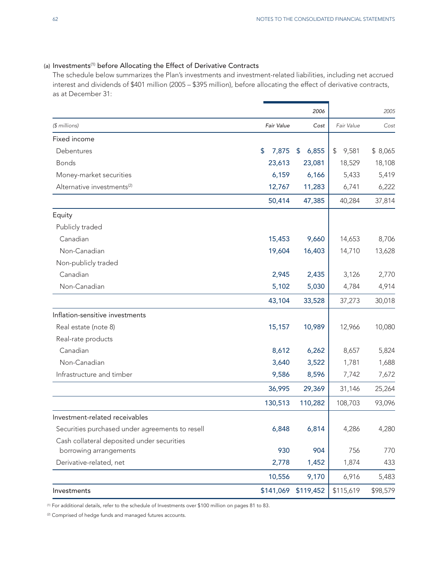## (a) Investments<sup>(1)</sup> before Allocating the Effect of Derivative Contracts

The schedule below summarizes the Plan's investments and investment-related liabilities, including net accrued interest and dividends of \$401 million (2005 – \$395 million), before allocating the effect of derivative contracts, as at December 31:

|                                                 |             | 2006        |             | 2005     |
|-------------------------------------------------|-------------|-------------|-------------|----------|
| (\$ millions)                                   | Fair Value  | Cost        | Fair Value  | Cost     |
| Fixed income                                    |             |             |             |          |
| Debentures                                      | \$<br>7,875 | 6,855<br>\$ | \$<br>9,581 | \$8,065  |
| <b>Bonds</b>                                    | 23,613      | 23,081      | 18,529      | 18,108   |
| Money-market securities                         | 6,159       | 6,166       | 5,433       | 5,419    |
| Alternative investments <sup>(2)</sup>          | 12,767      | 11,283      | 6,741       | 6,222    |
|                                                 | 50,414      | 47,385      | 40,284      | 37,814   |
| Equity                                          |             |             |             |          |
| Publicly traded                                 |             |             |             |          |
| Canadian                                        | 15,453      | 9,660       | 14,653      | 8,706    |
| Non-Canadian                                    | 19,604      | 16,403      | 14,710      | 13,628   |
| Non-publicly traded                             |             |             |             |          |
| Canadian                                        | 2,945       | 2,435       | 3,126       | 2,770    |
| Non-Canadian                                    | 5,102       | 5,030       | 4,784       | 4,914    |
|                                                 | 43,104      | 33,528      | 37,273      | 30,018   |
| Inflation-sensitive investments                 |             |             |             |          |
| Real estate (note 8)                            | 15,157      | 10,989      | 12,966      | 10,080   |
| Real-rate products                              |             |             |             |          |
| Canadian                                        | 8,612       | 6,262       | 8,657       | 5,824    |
| Non-Canadian                                    | 3,640       | 3,522       | 1,781       | 1,688    |
| Infrastructure and timber                       | 9,586       | 8,596       | 7,742       | 7,672    |
|                                                 | 36,995      | 29,369      | 31,146      | 25,264   |
|                                                 | 130,513     | 110,282     | 108,703     | 93,096   |
| Investment-related receivables                  |             |             |             |          |
| Securities purchased under agreements to resell | 6,848       | 6,814       | 4,286       | 4,280    |
| Cash collateral deposited under securities      |             |             |             |          |
| borrowing arrangements                          | 930         | 904         | 756         | 770      |
| Derivative-related, net                         | 2,778       | 1,452       | 1,874       | 433      |
|                                                 | 10,556      | 9,170       | 6,916       | 5,483    |
| Investments                                     | \$141,069   | \$119,452   | \$115,619   | \$98,579 |

(1) For additional details, refer to the schedule of Investments over \$100 million on pages 81 to 83.

(2) Comprised of hedge funds and managed futures accounts.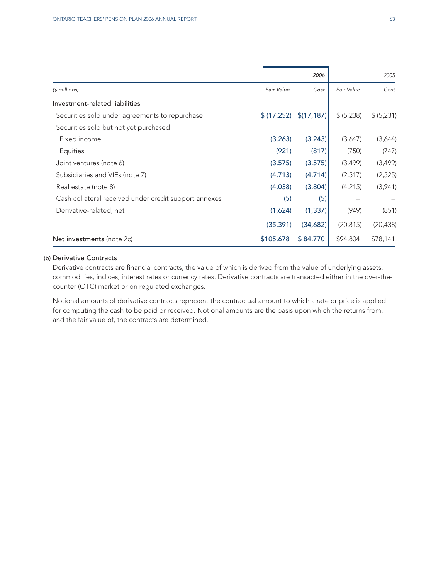|                                                       |                   | 2006        |            | 2005       |
|-------------------------------------------------------|-------------------|-------------|------------|------------|
| $$$ millions)                                         | <b>Fair Value</b> | Cost        | Fair Value | Cost       |
| Investment-related liabilities                        |                   |             |            |            |
| Securities sold under agreements to repurchase        | \$(17,252)        | \$(17, 187) | \$ (5,238) | \$ (5,231) |
| Securities sold but not yet purchased                 |                   |             |            |            |
| Fixed income                                          | (3, 263)          | (3, 243)    | (3,647)    | (3,644)    |
| Equities                                              | (921)             | (817)       | (750)      | (747)      |
| Joint ventures (note 6)                               | (3,575)           | (3,575)     | (3,499)    | (3,499)    |
| Subsidiaries and VIEs (note 7)                        | (4,713)           | (4,714)     | (2,517)    | (2,525)    |
| Real estate (note 8)                                  | (4,038)           | (3,804)     | (4, 215)   | (3,941)    |
| Cash collateral received under credit support annexes | (5)               | (5)         |            |            |
| Derivative-related, net                               | (1,624)           | (1, 337)    | (949)      | (851)      |
|                                                       | (35, 391)         | (34,682)    | (20, 815)  | (20, 438)  |
| Net investments (note 2c)                             | \$105,678         | \$84,770    | \$94,804   | \$78,141   |
|                                                       |                   |             |            |            |

## (b) Derivative Contracts

Derivative contracts are financial contracts, the value of which is derived from the value of underlying assets, commodities, indices, interest rates or currency rates. Derivative contracts are transacted either in the over-thecounter (OTC) market or on regulated exchanges.

Notional amounts of derivative contracts represent the contractual amount to which a rate or price is applied for computing the cash to be paid or received. Notional amounts are the basis upon which the returns from, and the fair value of, the contracts are determined.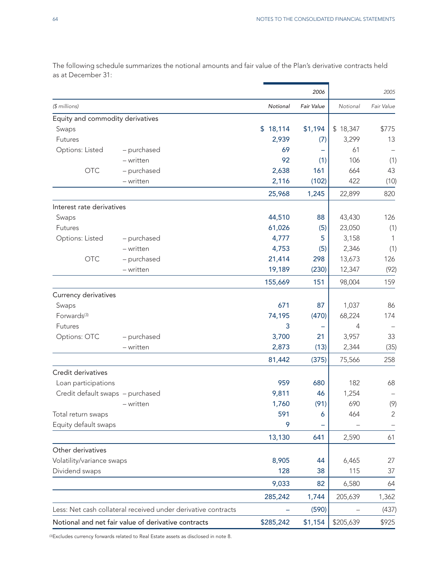|                                  |                                                               |           | 2006       |           | 2005           |
|----------------------------------|---------------------------------------------------------------|-----------|------------|-----------|----------------|
| (\$ millions)                    |                                                               | Notional  | Fair Value | Notional  | Fair Value     |
| Equity and commodity derivatives |                                                               |           |            |           |                |
| Swaps                            |                                                               | \$18,114  | \$1,194    | \$18,347  | \$775          |
| Futures                          |                                                               | 2,939     | (7)        | 3,299     | 13             |
| Options: Listed                  | - purchased                                                   | 69        |            | 61        |                |
|                                  | - written                                                     | 92        | (1)        | 106       | (1)            |
| <b>OTC</b>                       | - purchased                                                   | 2,638     | 161        | 664       | 43             |
|                                  | - written                                                     | 2,116     | (102)      | 422       | (10)           |
|                                  |                                                               | 25,968    | 1,245      | 22,899    | 820            |
| Interest rate derivatives        |                                                               |           |            |           |                |
| Swaps                            |                                                               | 44,510    | 88         | 43,430    | 126            |
| Futures                          |                                                               | 61,026    | (5)        | 23,050    | (1)            |
| Options: Listed                  | - purchased                                                   | 4,777     | 5          | 3,158     | 1              |
|                                  | - written                                                     | 4,753     | (5)        | 2,346     | (1)            |
| <b>OTC</b>                       | - purchased                                                   | 21,414    | 298        | 13,673    | 126            |
|                                  | - written                                                     | 19,189    | (230)      | 12,347    | (92)           |
|                                  |                                                               | 155,669   | 151        | 98,004    | 159            |
| Currency derivatives             |                                                               |           |            |           |                |
| Swaps                            |                                                               | 671       | 87         | 1,037     | 86             |
| Forwards <sup>(3)</sup>          |                                                               | 74,195    | (470)      | 68,224    | 174            |
| Futures                          |                                                               | 3         |            | 4         |                |
| Options: OTC                     | - purchased                                                   | 3,700     | 21         | 3,957     | 33             |
|                                  | - written                                                     | 2,873     | (13)       | 2,344     | (35)           |
|                                  |                                                               | 81,442    | (375)      | 75,566    | 258            |
| Credit derivatives               |                                                               |           |            |           |                |
| Loan participations              |                                                               | 959       | 680        | 182       | 68             |
| Credit default swaps - purchased |                                                               | 9,811     | 46         | 1,254     |                |
|                                  | - written                                                     | 1,760     | (91)       | 690       | (9)            |
| Total return swaps               |                                                               | 591       | 6          | 464       | $\overline{2}$ |
| Equity default swaps             |                                                               | 9         |            |           |                |
|                                  |                                                               | 13,130    | 641        | 2,590     | 61             |
| Other derivatives                |                                                               |           |            |           |                |
| Volatility/variance swaps        |                                                               | 8,905     | 44         | 6,465     | 27             |
| Dividend swaps                   |                                                               | 128       | 38         | 115       | 37             |
|                                  |                                                               | 9,033     | 82         | 6,580     | 64             |
|                                  |                                                               | 285,242   | 1,744      | 205,639   | 1,362          |
|                                  | Less: Net cash collateral received under derivative contracts |           | (590)      |           | (437)          |
|                                  | Notional and net fair value of derivative contracts           | \$285,242 | \$1,154    | \$205,639 | \$925          |

The following schedule summarizes the notional amounts and fair value of the Plan's derivative contracts held as at December 31:

(3) Excludes currency forwards related to Real Estate assets as disclosed in note 8.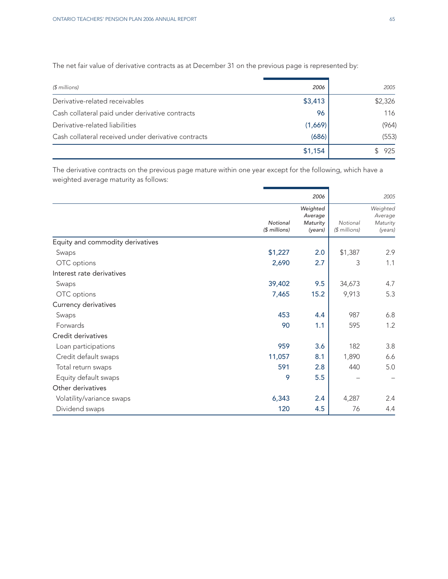The net fair value of derivative contracts as at December 31 on the previous page is represented by:

| $$$ millions)                                       | 2006    | 2005    |
|-----------------------------------------------------|---------|---------|
| Derivative-related receivables                      | \$3,413 | \$2,326 |
| Cash collateral paid under derivative contracts     | 96      | 116     |
| Derivative-related liabilities                      | (1,669) | (964)   |
| Cash collateral received under derivative contracts | (686)   | (553)   |
|                                                     | \$1,154 | 925     |

The derivative contracts on the previous page mature within one year except for the following, which have a weighted average maturity as follows:

|                                  |                           | 2006                                       |                           | 2005                                       |
|----------------------------------|---------------------------|--------------------------------------------|---------------------------|--------------------------------------------|
|                                  | Notional<br>(\$ millions) | Weighted<br>Average<br>Maturity<br>(years) | Notional<br>$$$ millions) | Weighted<br>Average<br>Maturity<br>(years) |
| Equity and commodity derivatives |                           |                                            |                           |                                            |
| Swaps                            | \$1,227                   | 2.0                                        | \$1,387                   | 2.9                                        |
| OTC options                      | 2,690                     | 2.7                                        | 3                         | 1.1                                        |
| Interest rate derivatives        |                           |                                            |                           |                                            |
| Swaps                            | 39,402                    | 9.5                                        | 34,673                    | 4.7                                        |
| OTC options                      | 7,465                     | 15.2                                       | 9,913                     | 5.3                                        |
| Currency derivatives             |                           |                                            |                           |                                            |
| Swaps                            | 453                       | 4.4                                        | 987                       | 6.8                                        |
| Forwards                         | 90                        | 1.1                                        | 595                       | 1.2                                        |
| Credit derivatives               |                           |                                            |                           |                                            |
| Loan participations              | 959                       | 3.6                                        | 182                       | 3.8                                        |
| Credit default swaps             | 11,057                    | 8.1                                        | 1,890                     | 6.6                                        |
| Total return swaps               | 591                       | 2.8                                        | 440                       | 5.0                                        |
| Equity default swaps             | 9                         | 5.5                                        |                           |                                            |
| Other derivatives                |                           |                                            |                           |                                            |
| Volatility/variance swaps        | 6,343                     | 2.4                                        | 4,287                     | 2.4                                        |
| Dividend swaps                   | 120                       | 4.5                                        | 76                        | 4.4                                        |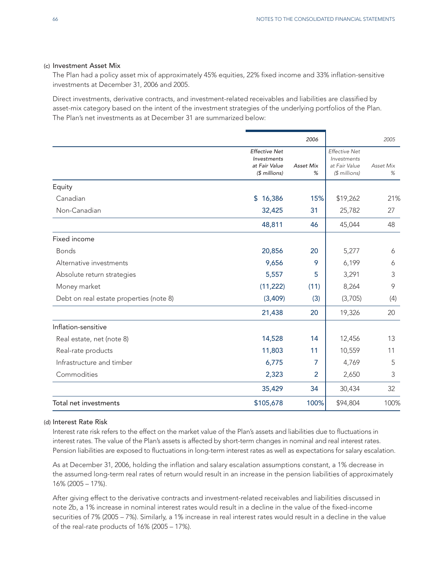## (c) Investment Asset Mix

The Plan had a policy asset mix of approximately 45% equities, 22% fixed income and 33% inflation-sensitive investments at December 31, 2006 and 2005.

Direct investments, derivative contracts, and investment-related receivables and liabilities are classified by asset-mix category based on the intent of the investment strategies of the underlying portfolios of the Plan. The Plan's net investments as at December 31 are summarized below:

|                                         |                                                                       | 2006                  |                                                                       | 2005           |
|-----------------------------------------|-----------------------------------------------------------------------|-----------------------|-----------------------------------------------------------------------|----------------|
|                                         | <b>Effective Net</b><br>Investments<br>at Fair Value<br>$$$ millions) | <b>Asset Mix</b><br>% | <b>Effective Net</b><br>Investments<br>at Fair Value<br>(\$ millions) | Asset Mix<br>% |
| Equity                                  |                                                                       |                       |                                                                       |                |
| Canadian                                | \$16,386                                                              | 15%                   | \$19,262                                                              | 21%            |
| Non-Canadian                            | 32,425                                                                | 31                    | 25,782                                                                | 27             |
|                                         | 48,811                                                                | 46                    | 45,044                                                                | 48             |
| Fixed income                            |                                                                       |                       |                                                                       |                |
| <b>Bonds</b>                            | 20,856                                                                | 20                    | 5,277                                                                 | 6              |
| Alternative investments                 | 9,656                                                                 | 9                     | 6,199                                                                 | 6              |
| Absolute return strategies              | 5,557                                                                 | 5                     | 3,291                                                                 | 3              |
| Money market                            | (11, 222)                                                             | (11)                  | 8,264                                                                 | 9              |
| Debt on real estate properties (note 8) | (3,409)                                                               | (3)                   | (3,705)                                                               | (4)            |
|                                         | 21,438                                                                | 20                    | 19,326                                                                | 20             |
| Inflation-sensitive                     |                                                                       |                       |                                                                       |                |
| Real estate, net (note 8)               | 14,528                                                                | 14                    | 12,456                                                                | 13             |
| Real-rate products                      | 11,803                                                                | 11                    | 10,559                                                                | 11             |
| Infrastructure and timber               | 6,775                                                                 | 7                     | 4,769                                                                 | 5              |
| Commodities                             | 2,323                                                                 | $\overline{2}$        | 2,650                                                                 | 3              |
|                                         | 35,429                                                                | 34                    | 30,434                                                                | 32             |
| Total net investments                   | \$105,678                                                             | 100%                  | \$94,804                                                              | 100%           |
|                                         |                                                                       |                       |                                                                       |                |

### (d) Interest Rate Risk

Interest rate risk refers to the effect on the market value of the Plan's assets and liabilities due to fluctuations in interest rates. The value of the Plan's assets is affected by short-term changes in nominal and real interest rates. Pension liabilities are exposed to fluctuations in long-term interest rates as well as expectations for salary escalation.

As at December 31, 2006, holding the inflation and salary escalation assumptions constant, a 1% decrease in the assumed long-term real rates of return would result in an increase in the pension liabilities of approximately 16% (2005 – 17%).

After giving effect to the derivative contracts and investment-related receivables and liabilities discussed in note 2b, a 1% increase in nominal interest rates would result in a decline in the value of the fixed-income securities of 7% (2005 – 7%). Similarly, a 1% increase in real interest rates would result in a decline in the value of the real-rate products of 16% (2005 – 17%).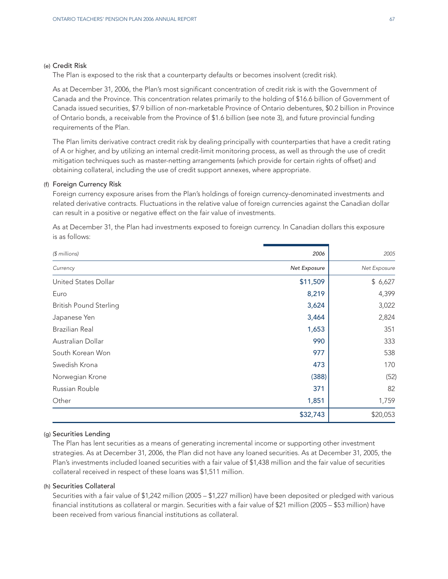#### (e) Credit Risk

The Plan is exposed to the risk that a counterparty defaults or becomes insolvent (credit risk).

As at December 31, 2006, the Plan's most significant concentration of credit risk is with the Government of Canada and the Province. This concentration relates primarily to the holding of \$16.6 billion of Government of Canada issued securities, \$7.9 billion of non-marketable Province of Ontario debentures, \$0.2 billion in Province of Ontario bonds, a receivable from the Province of \$1.6 billion (see note 3), and future provincial funding requirements of the Plan.

The Plan limits derivative contract credit risk by dealing principally with counterparties that have a credit rating of A or higher, and by utilizing an internal credit-limit monitoring process, as well as through the use of credit mitigation techniques such as master-netting arrangements (which provide for certain rights of offset) and obtaining collateral, including the use of credit support annexes, where appropriate.

#### (f) Foreign Currency Risk

Foreign currency exposure arises from the Plan's holdings of foreign currency-denominated investments and related derivative contracts. Fluctuations in the relative value of foreign currencies against the Canadian dollar can result in a positive or negative effect on the fair value of investments.

As at December 31, the Plan had investments exposed to foreign currency. In Canadian dollars this exposure is as follows:

| (\$ millions)                 | 2006         | 2005         |
|-------------------------------|--------------|--------------|
| Currency                      | Net Exposure | Net Exposure |
| United States Dollar          | \$11,509     | \$6,627      |
| Euro                          | 8,219        | 4,399        |
| <b>British Pound Sterling</b> | 3,624        | 3,022        |
| Japanese Yen                  | 3,464        | 2,824        |
| <b>Brazilian Real</b>         | 1,653        | 351          |
| Australian Dollar             | 990          | 333          |
| South Korean Won              | 977          | 538          |
| Swedish Krona                 | 473          | 170          |
| Norwegian Krone               | (388)        | (52)         |
| Russian Rouble                | 371          | 82           |
| Other                         | 1,851        | 1,759        |
|                               | \$32,743     | \$20,053     |

## (g) Securities Lending

The Plan has lent securities as a means of generating incremental income or supporting other investment strategies. As at December 31, 2006, the Plan did not have any loaned securities. As at December 31, 2005, the Plan's investments included loaned securities with a fair value of \$1,438 million and the fair value of securities collateral received in respect of these loans was \$1,511 million.

#### (h) Securities Collateral

Securities with a fair value of \$1,242 million (2005 – \$1,227 million) have been deposited or pledged with various financial institutions as collateral or margin. Securities with a fair value of \$21 million (2005 – \$53 million) have been received from various financial institutions as collateral.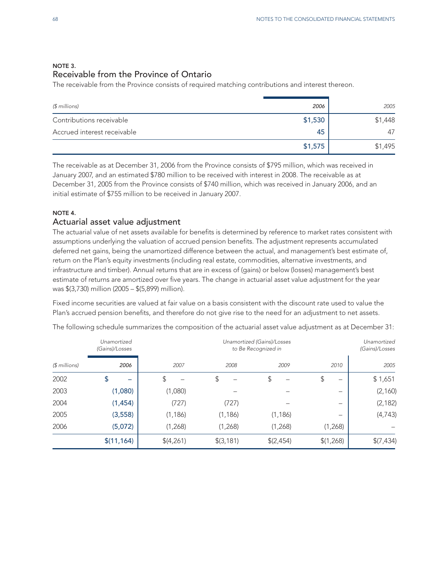## NOTE 3. Receivable from the Province of Ontario

The receivable from the Province consists of required matching contributions and interest thereon.

| $$$ millions)               | 2006    | 2005    |
|-----------------------------|---------|---------|
| Contributions receivable    | \$1,530 | \$1,448 |
| Accrued interest receivable | 45      | 47      |
|                             | \$1,575 | \$1,495 |

The receivable as at December 31, 2006 from the Province consists of \$795 million, which was received in January 2007, and an estimated \$780 million to be received with interest in 2008. The receivable as at December 31, 2005 from the Province consists of \$740 million, which was received in January 2006, and an initial estimate of \$755 million to be received in January 2007.

## NOTE 4.

## Actuarial asset value adjustment

The actuarial value of net assets available for benefits is determined by reference to market rates consistent with assumptions underlying the valuation of accrued pension benefits. The adjustment represents accumulated deferred net gains, being the unamortized difference between the actual, and management's best estimate of, return on the Plan's equity investments (including real estate, commodities, alternative investments, and infrastructure and timber). Annual returns that are in excess of (gains) or below (losses) management's best estimate of returns are amortized over five years. The change in actuarial asset value adjustment for the year was \$(3,730) million (2005 – \$(5,899) million).

Fixed income securities are valued at fair value on a basis consistent with the discount rate used to value the Plan's accrued pension benefits, and therefore do not give rise to the need for an adjustment to net assets.

|               | Unamortized<br>(Gains)/Losses |           | Unamortized (Gains)/Losses<br>to Be Recognized in |           |                          |           |
|---------------|-------------------------------|-----------|---------------------------------------------------|-----------|--------------------------|-----------|
| $$$ millions) | 2006                          | 2007      | 2008                                              | 2009      | 2010                     | 2005      |
| 2002          | \$                            | S         | \$                                                | S         | \$<br>-                  | \$1,651   |
| 2003          | (1,080)                       | (1,080)   |                                                   |           | $\overline{\phantom{0}}$ | (2, 160)  |
| 2004          | (1, 454)                      | (727)     | (727)                                             |           | $\overline{\phantom{0}}$ | (2, 182)  |
| 2005          | (3, 558)                      | (1, 186)  | (1, 186)                                          | (1, 186)  | $\overline{\phantom{0}}$ | (4, 743)  |
| 2006          | (5,072)                       | (1,268)   | (1,268)                                           | (1,268)   | (1,268)                  |           |
|               | \$(11, 164)                   | \$(4,261) | \$(3,181)                                         | \$(2,454) | \$(1,268)                | \$(7,434) |

The following schedule summarizes the composition of the actuarial asset value adjustment as at December 31: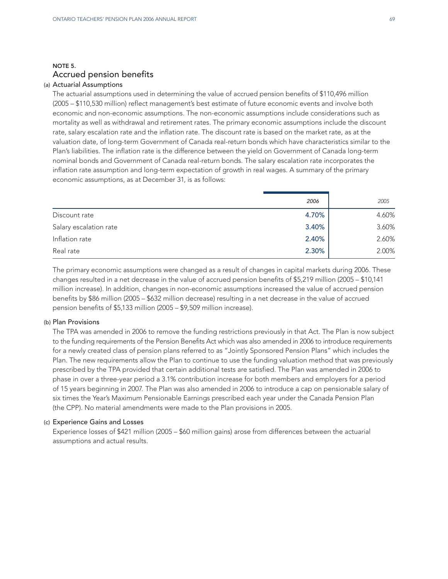## NOTE 5. Accrued pension benefits

## (a) Actuarial Assumptions

The actuarial assumptions used in determining the value of accrued pension benefits of \$110,496 million (2005 – \$110,530 million) reflect management's best estimate of future economic events and involve both economic and non-economic assumptions. The non-economic assumptions include considerations such as mortality as well as withdrawal and retirement rates. The primary economic assumptions include the discount rate, salary escalation rate and the inflation rate. The discount rate is based on the market rate, as at the valuation date, of long-term Government of Canada real-return bonds which have characteristics similar to the Plan's liabilities. The inflation rate is the difference between the yield on Government of Canada long-term nominal bonds and Government of Canada real-return bonds. The salary escalation rate incorporates the inflation rate assumption and long-term expectation of growth in real wages. A summary of the primary economic assumptions, as at December 31, is as follows:

|                        | 2006  | 2005  |
|------------------------|-------|-------|
| Discount rate          | 4.70% | 4.60% |
| Salary escalation rate | 3.40% | 3.60% |
| Inflation rate         | 2.40% | 2.60% |
| Real rate              | 2.30% | 2.00% |

The primary economic assumptions were changed as a result of changes in capital markets during 2006. These changes resulted in a net decrease in the value of accrued pension benefits of \$5,219 million (2005 – \$10,141 million increase). In addition, changes in non-economic assumptions increased the value of accrued pension benefits by \$86 million (2005 – \$632 million decrease) resulting in a net decrease in the value of accrued pension benefits of \$5,133 million (2005 – \$9,509 million increase).

#### (b) Plan Provisions

The TPA was amended in 2006 to remove the funding restrictions previously in that Act. The Plan is now subject to the funding requirements of the Pension Benefits Act which was also amended in 2006 to introduce requirements for a newly created class of pension plans referred to as "Jointly Sponsored Pension Plans" which includes the Plan. The new requirements allow the Plan to continue to use the funding valuation method that was previously prescribed by the TPA provided that certain additional tests are satisfied. The Plan was amended in 2006 to phase in over a three-year period a 3.1% contribution increase for both members and employers for a period of 15 years beginning in 2007. The Plan was also amended in 2006 to introduce a cap on pensionable salary of six times the Year's Maximum Pensionable Earnings prescribed each year under the Canada Pension Plan (the CPP). No material amendments were made to the Plan provisions in 2005.

#### (c) Experience Gains and Losses

Experience losses of \$421 million (2005 – \$60 million gains) arose from differences between the actuarial assumptions and actual results.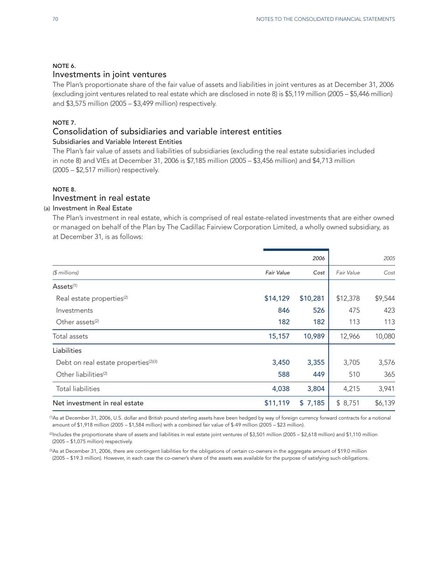## NOTE 6.

## Investments in joint ventures

The Plan's proportionate share of the fair value of assets and liabilities in joint ventures as at December 31, 2006 (excluding joint ventures related to real estate which are disclosed in note 8) is \$5,119 million (2005 – \$5,446 million) and \$3,575 million (2005 – \$3,499 million) respectively.

## NOTE 7.

## Consolidation of subsidiaries and variable interest entities

## Subsidiaries and Variable Interest Entities

The Plan's fair value of assets and liabilities of subsidiaries (excluding the real estate subsidiaries included in note 8) and VIEs at December 31, 2006 is \$7,185 million (2005 – \$3,456 million) and \$4,713 million (2005 – \$2,517 million) respectively.

## NOTE 8.

## Investment in real estate

## (a) Investment in Real Estate

The Plan's investment in real estate, which is comprised of real estate-related investments that are either owned or managed on behalf of the Plan by The Cadillac Fairview Corporation Limited, a wholly owned subsidiary, as at December 31, is as follows:

|                                                  |            | 2006     |            | 2005    |
|--------------------------------------------------|------------|----------|------------|---------|
| $$$ millions)                                    | Fair Value | Cost     | Fair Value | Cost    |
| Assets <sup>(1)</sup>                            |            |          |            |         |
| Real estate properties <sup>(2)</sup>            | \$14,129   | \$10,281 | \$12,378   | \$9,544 |
| Investments                                      | 846        | 526      | 475        | 423     |
| Other assets <sup>(2)</sup>                      | 182        | 182      | 113        | 113     |
| Total assets                                     | 15,157     | 10,989   | 12,966     | 10,080  |
| Liabilities                                      |            |          |            |         |
| Debt on real estate properties <sup>(2)(3)</sup> | 3,450      | 3,355    | 3,705      | 3,576   |
| Other liabilities <sup>(2)</sup>                 | 588        | 449      | 510        | 365     |
| <b>Total liabilities</b>                         | 4,038      | 3,804    | 4,215      | 3,941   |
| Net investment in real estate                    | \$11,119   | \$7,185  | \$8,751    | \$6,139 |
|                                                  |            |          |            |         |

(1) As at December 31, 2006, U.S. dollar and British pound sterling assets have been hedged by way of foreign currency forward contracts for a notional amount of \$1,918 million (2005 – \$1,584 million) with a combined fair value of \$-49 million (2005 – \$23 million).

(2) Includes the proportionate share of assets and liabilities in real estate joint ventures of \$3,501 million (2005 – \$2,618 million) and \$1,110 million (2005 – \$1,075 million) respectively.

©As at December 31, 2006, there are contingent liabilities for the obligations of certain co-owners in the aggregate amount of \$19.0 million (2005 – \$19.3 million). However, in each case the co-owner's share of the assets was available for the purpose of satisfying such obligations.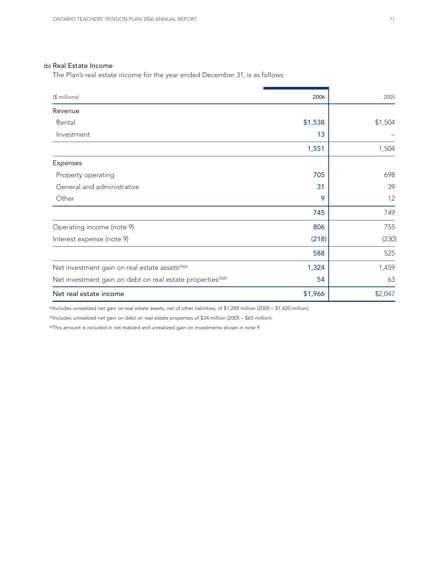## (b) Real Estate Income

The Plan's real estate income for the year ended December 31, is as follows:

| (\$ millions)                                                           | 2006    | 2005    |
|-------------------------------------------------------------------------|---------|---------|
| Revenue                                                                 |         |         |
| Rental                                                                  | \$1,538 | \$1,504 |
| Investment                                                              | 13      |         |
|                                                                         | 1,551   | 1,504   |
| Expenses                                                                |         |         |
| Property operating                                                      | 705     | 698     |
| General and administrative                                              | 31      | 39      |
| Other                                                                   | 9       | 12      |
|                                                                         | 745     | 749     |
| Operating income (note 9)                                               | 806     | 755     |
| Interest expense (note 9)                                               | (218)   | (230)   |
|                                                                         | 588     | 525     |
| Net investment gain on real estate assets <sup>(4)(6)</sup>             | 1,324   | 1,459   |
| Net investment gain on debt on real estate properties <sup>(5)(6)</sup> | 54      | 63      |
| Net real estate income                                                  | \$1,966 | \$2,047 |

(4) Includes unrealized net gain on real estate assets, net of other liabilities, of \$1,288 million (2005 – \$1,420 million).

(5) Includes unrealized net gain on debt on real estate properties of \$34 million (2005 – \$65 million).

(6) This amount is included in net realized and unrealized gain on investments shown in note 9.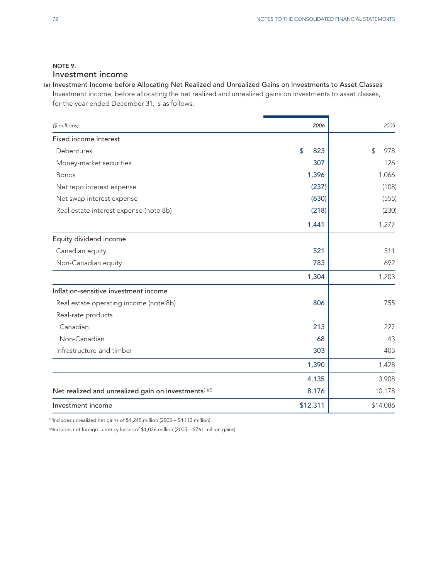## NOTE 9. Investment income

## (a) Investment Income before Allocating Net Realized and Unrealized Gains on Investments to Asset Classes Investment income, before allocating the net realized and unrealized gains on investments to asset classes, for the year ended December 31, is as follows:

| (\$ millions)                                         | 2006      | 2005      |
|-------------------------------------------------------|-----------|-----------|
| Fixed income interest                                 |           |           |
| Debentures                                            | \$<br>823 | \$<br>978 |
| Money-market securities                               | 307       | 126       |
| <b>Bonds</b>                                          | 1,396     | 1,066     |
| Net repo interest expense                             | (237)     | (108)     |
| Net swap interest expense                             | (630)     | (555)     |
| Real estate interest expense (note 8b)                | (218)     | (230)     |
|                                                       | 1,441     | 1,277     |
| Equity dividend income                                |           |           |
| Canadian equity                                       | 521       | 511       |
| Non-Canadian equity                                   | 783       | 692       |
|                                                       | 1,304     | 1,203     |
| Inflation-sensitive investment income                 |           |           |
| Real estate operating income (note 8b)                | 806       | 755       |
| Real-rate products                                    |           |           |
| Canadian                                              | 213       | 227       |
| Non-Canadian                                          | 68        | 43        |
| Infrastructure and timber                             | 303       | 403       |
|                                                       | 1,390     | 1,428     |
|                                                       | 4,135     | 3,908     |
| Net realized and unrealized gain on investments(1)(2) | 8,176     | 10,178    |
| Investment income                                     | \$12,311  | \$14,086  |

(1) Includes unrealized net gains of \$4,245 million (2005 – \$4,112 million).

(2) Includes net foreign currency losses of \$1,036 million (2005 – \$761 million gains).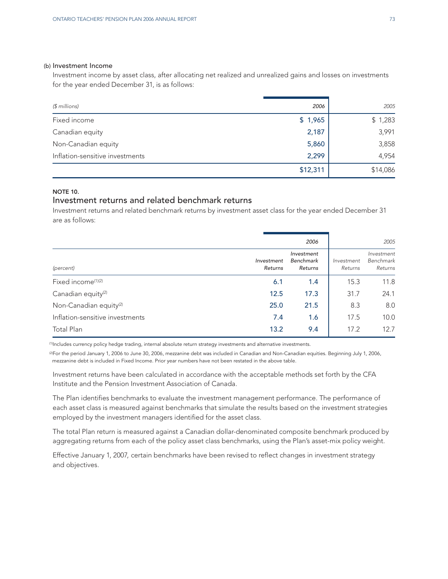#### (b) Investment Income

Investment income by asset class, after allocating net realized and unrealized gains and losses on investments for the year ended December 31, is as follows:

| (\$ millions)                   | 2006     | 2005     |
|---------------------------------|----------|----------|
| Fixed income                    | \$1,965  | \$1,283  |
| Canadian equity                 | 2,187    | 3,991    |
| Non-Canadian equity             | 5,860    | 3,858    |
| Inflation-sensitive investments | 2,299    | 4,954    |
|                                 | \$12,311 | \$14,086 |

## NOTE 10.

## Investment returns and related benchmark returns

Investment returns and related benchmark returns by investment asset class for the year ended December 31 are as follows:

|                                    |                       | 2006                               |                       | 2005                               |
|------------------------------------|-----------------------|------------------------------------|-----------------------|------------------------------------|
| (percent)                          | Investment<br>Returns | Investment<br>Benchmark<br>Returns | Investment<br>Returns | Investment<br>Benchmark<br>Returns |
| Fixed income <sup>(1)(2)</sup>     | 6.1                   | 1.4                                | 15.3                  | 11.8                               |
| Canadian equity <sup>(2)</sup>     | 12.5                  | 17.3                               | 31.7                  | 24.1                               |
| Non-Canadian equity <sup>(2)</sup> | 25.0                  | 21.5                               | 8.3                   | 8.0                                |
| Inflation-sensitive investments    | 7.4                   | 1.6                                | 17.5                  | 10.0                               |
| Total Plan                         | 13.2                  | 9.4                                | 17.2                  | 12.7                               |

(1) Includes currency policy hedge trading, internal absolute return strategy investments and alternative investments.

(2) For the period January 1, 2006 to June 30, 2006, mezzanine debt was included in Canadian and Non-Canadian equities. Beginning July 1, 2006, mezzanine debt is included in Fixed Income. Prior year numbers have not been restated in the above table.

Investment returns have been calculated in accordance with the acceptable methods set forth by the CFA Institute and the Pension Investment Association of Canada.

The Plan identifies benchmarks to evaluate the investment management performance. The performance of each asset class is measured against benchmarks that simulate the results based on the investment strategies employed by the investment managers identified for the asset class.

The total Plan return is measured against a Canadian dollar-denominated composite benchmark produced by aggregating returns from each of the policy asset class benchmarks, using the Plan's asset-mix policy weight.

Effective January 1, 2007, certain benchmarks have been revised to reflect changes in investment strategy and objectives.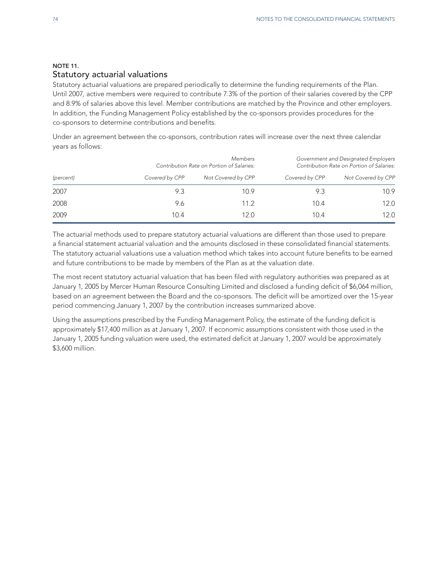## NOTE 11. Statutory actuarial valuations

Statutory actuarial valuations are prepared periodically to determine the funding requirements of the Plan. Until 2007, active members were required to contribute 7.3% of the portion of their salaries covered by the CPP and 8.9% of salaries above this level. Member contributions are matched by the Province and other employers. In addition, the Funding Management Policy established by the co-sponsors provides procedures for the co-sponsors to determine contributions and benefits.

Under an agreement between the co-sponsors, contribution rates will increase over the next three calendar years as follows:

|           |                | <b>Members</b><br>Contribution Rate on Portion of Salaries: |                | Government and Designated Employers<br>Contribution Rate on Portion of Salaries: |  |
|-----------|----------------|-------------------------------------------------------------|----------------|----------------------------------------------------------------------------------|--|
| (percent) | Covered by CPP | Not Covered by CPP                                          | Covered by CPP | Not Covered by CPP                                                               |  |
| 2007      | 9.3            | 10.9                                                        | 9.3            | 10.9                                                                             |  |
| 2008      | 9.6            | 11.2                                                        | 10.4           | 12.0                                                                             |  |
| 2009      | 10.4           | 12.0                                                        | 10.4           | 12.0                                                                             |  |

The actuarial methods used to prepare statutory actuarial valuations are different than those used to prepare a financial statement actuarial valuation and the amounts disclosed in these consolidated financial statements. The statutory actuarial valuations use a valuation method which takes into account future benefits to be earned and future contributions to be made by members of the Plan as at the valuation date.

The most recent statutory actuarial valuation that has been filed with regulatory authorities was prepared as at January 1, 2005 by Mercer Human Resource Consulting Limited and disclosed a funding deficit of \$6,064 million, based on an agreement between the Board and the co-sponsors. The deficit will be amortized over the 15-year period commencing January 1, 2007 by the contribution increases summarized above.

Using the assumptions prescribed by the Funding Management Policy, the estimate of the funding deficit is approximately \$17,400 million as at January 1, 2007. If economic assumptions consistent with those used in the January 1, 2005 funding valuation were used, the estimated deficit at January 1, 2007 would be approximately \$3,600 million.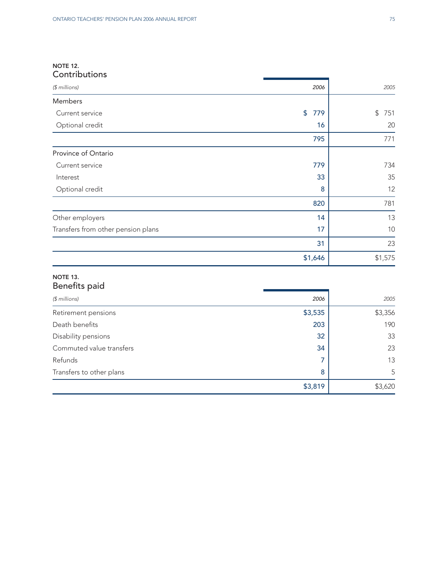## NOTE 12. **Contributions**

| 2006                 | (\$ millions)                      |
|----------------------|------------------------------------|
|                      | Members                            |
| $\frac{1}{2}$<br>779 | Current service                    |
| 16                   | Optional credit                    |
| 795                  |                                    |
|                      | Province of Ontario                |
| 779                  | Current service                    |
| 33                   | Interest                           |
| 8                    | Optional credit                    |
| 820                  |                                    |
| 14                   | Other employers                    |
| 17                   | Transfers from other pension plans |
| 31                   |                                    |
| \$1,646              |                                    |
|                      |                                    |

## NOTE 13. Benefits paid

| $$$ millions)            | 2006    | 2005    |
|--------------------------|---------|---------|
| Retirement pensions      | \$3,535 | \$3,356 |
| Death benefits           | 203     | 190     |
| Disability pensions      | 32      | 33      |
| Commuted value transfers | 34      | 23      |
| Refunds                  |         | 13      |
| Transfers to other plans | 8       | 5       |
|                          | \$3,819 | \$3,620 |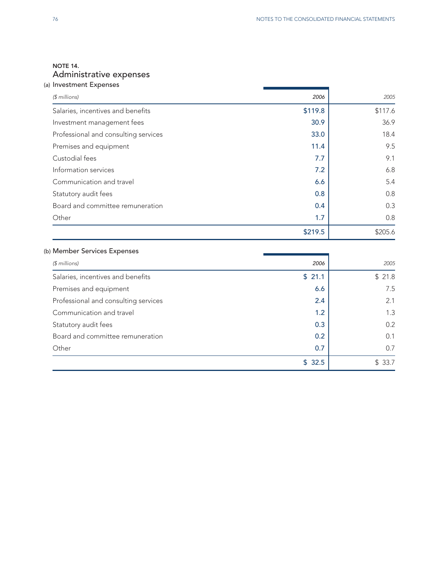## NOTE 14. Administrative expenses

| (a) Investment Expenses              |         |         |
|--------------------------------------|---------|---------|
| $$$ millions)                        | 2006    | 2005    |
| Salaries, incentives and benefits    | \$119.8 | \$117.6 |
| Investment management fees           | 30.9    | 36.9    |
| Professional and consulting services | 33.0    | 18.4    |
| Premises and equipment               | 11.4    | 9.5     |
| Custodial fees                       | 7.7     | 9.1     |
| Information services                 | 7.2     | 6.8     |
| Communication and travel             | 6.6     | 5.4     |
| Statutory audit fees                 | 0.8     | 0.8     |
| Board and committee remuneration     | 0.4     | 0.3     |
| Other                                | 1.7     | 0.8     |
|                                      | \$219.5 | \$205.6 |

## (b) Member Services Expenses

| $$$ millions)                        | 2006   | 2005   |
|--------------------------------------|--------|--------|
| Salaries, incentives and benefits    | \$21.1 | \$21.8 |
| Premises and equipment               | 6.6    | 7.5    |
| Professional and consulting services | 2.4    | 2.1    |
| Communication and travel             | 1.2    | 1.3    |
| Statutory audit fees                 | 0.3    | 0.2    |
| Board and committee remuneration     | 0.2    | 0.1    |
| Other                                | 0.7    | 0.7    |
|                                      | \$32.5 | \$33.7 |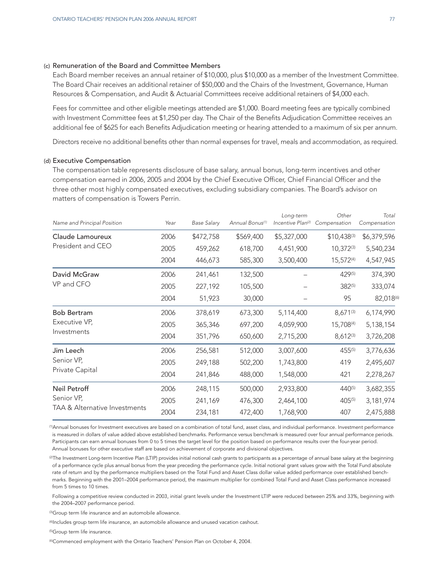#### (c) Remuneration of the Board and Committee Members

Each Board member receives an annual retainer of \$10,000, plus \$10,000 as a member of the Investment Committee. The Board Chair receives an additional retainer of \$50,000 and the Chairs of the Investment, Governance, Human Resources & Compensation, and Audit & Actuarial Committees receive additional retainers of \$4,000 each.

Fees for committee and other eligible meetings attended are \$1,000. Board meeting fees are typically combined with Investment Committee fees at \$1,250 per day. The Chair of the Benefits Adjudication Committee receives an additional fee of \$625 for each Benefits Adjudication meeting or hearing attended to a maximum of six per annum.

Directors receive no additional benefits other than normal expenses for travel, meals and accommodation, as required.

#### (d) Executive Compensation

The compensation table represents disclosure of base salary, annual bonus, long-term incentives and other compensation earned in 2006, 2005 and 2004 by the Chief Executive Officer, Chief Financial Officer and the three other most highly compensated executives, excluding subsidiary companies. The Board's advisor on matters of compensation is Towers Perrin.

| Name and Principal Position                                 | Year | <b>Base Salary</b> | Annual Bonus <sup>(1)</sup> | Long-term<br>Incentive Plan <sup>(2)</sup> | Other<br>Compensation | Total<br>Compensation |
|-------------------------------------------------------------|------|--------------------|-----------------------------|--------------------------------------------|-----------------------|-----------------------|
| Claude Lamoureux                                            | 2006 | \$472,758          | \$569,400                   | \$5,327,000                                | $$10,438^{(3)}$       | \$6,379,596           |
| President and CEO                                           | 2005 | 459,262            | 618,700                     | 4,451,900                                  | $10,372^{(3)}$        | 5,540,234             |
|                                                             | 2004 | 446,673            | 585,300                     | 3,500,400                                  | $15,572^{(4)}$        | 4,547,945             |
| David McGraw<br>VP and CFO                                  | 2006 | 241,461            | 132,500                     |                                            | 429(5)                | 374,390               |
|                                                             | 2005 | 227,192            | 105,500                     |                                            | 382(5)                | 333,074               |
|                                                             | 2004 | 51,923             | 30,000                      |                                            | 95                    | 82,018(6)             |
| <b>Bob Bertram</b><br>Executive VP,<br>Investments          | 2006 | 378,619            | 673,300                     | 5,114,400                                  | 8,671(3)              | 6,174,990             |
|                                                             | 2005 | 365,346            | 697,200                     | 4,059,900                                  | 15,708(4)             | 5,138,154             |
|                                                             | 2004 | 351,796            | 650,600                     | 2,715,200                                  | 8,612(3)              | 3,726,208             |
| Jim Leech<br>Senior VP,<br>Private Capital                  | 2006 | 256,581            | 512,000                     | 3,007,600                                  | 455(5)                | 3,776,636             |
|                                                             | 2005 | 249,188            | 502,200                     | 1,743,800                                  | 419                   | 2,495,607             |
|                                                             | 2004 | 241,846            | 488,000                     | 1,548,000                                  | 421                   | 2,278,267             |
| Neil Petroff<br>Senior VP,<br>TAA & Alternative Investments | 2006 | 248,115            | 500,000                     | 2,933,800                                  | $440^{(5)}$           | 3,682,355             |
|                                                             | 2005 | 241,169            | 476,300                     | 2,464,100                                  | 405(5)                | 3,181,974             |
|                                                             | 2004 | 234,181            | 472,400                     | 1,768,900                                  | 407                   | 2,475,888             |

(1) Annual bonuses for Investment executives are based on a combination of total fund, asset class, and individual performance. Investment performance is measured in dollars of value added above established benchmarks. Performance versus benchmark is measured over four annual performance periods. Participants can earn annual bonuses from 0 to 5 times the target level for the position based on performance results over the four-year period. Annual bonuses for other executive staff are based on achievement of corporate and divisional objectives.

(2) The Investment Long-term Incentive Plan (LTIP) provides initial notional cash grants to participants as a percentage of annual base salary at the beginning of a performance cycle plus annual bonus from the year preceding the performance cycle. Initial notional grant values grow with the Total Fund absolute rate of return and by the performance multipliers based on the Total Fund and Asset Class dollar value added performance over established benchmarks. Beginning with the 2001–2004 performance period, the maximum multiplier for combined Total Fund and Asset Class performance increased from 5 times to 10 times.

Following a competitive review conducted in 2003, initial grant levels under the Investment LTIP were reduced between 25% and 33%, beginning with the 2004–2007 performance period.

(3) Group term life insurance and an automobile allowance.

(4) Includes group term life insurance, an automobile allowance and unused vacation cashout.

(5) Group term life insurance.

(6) Commenced employment with the Ontario Teachers' Pension Plan on October 4, 2004.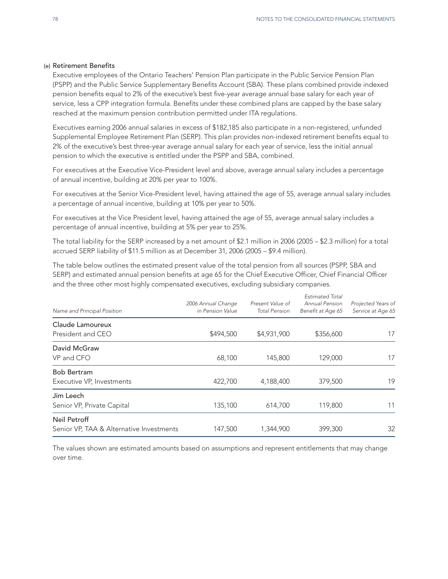#### (e) Retirement Benefits

Executive employees of the Ontario Teachers' Pension Plan participate in the Public Service Pension Plan (PSPP) and the Public Service Supplementary Benefits Account (SBA). These plans combined provide indexed pension benefits equal to 2% of the executive's best five-year average annual base salary for each year of service, less a CPP integration formula. Benefits under these combined plans are capped by the base salary reached at the maximum pension contribution permitted under ITA regulations.

Executives earning 2006 annual salaries in excess of \$182,185 also participate in a non-registered, unfunded Supplemental Employee Retirement Plan (SERP). This plan provides non-indexed retirement benefits equal to 2% of the executive's best three-year average annual salary for each year of service, less the initial annual pension to which the executive is entitled under the PSPP and SBA, combined.

For executives at the Executive Vice-President level and above, average annual salary includes a percentage of annual incentive, building at 20% per year to 100%.

For executives at the Senior Vice-President level, having attained the age of 55, average annual salary includes a percentage of annual incentive, building at 10% per year to 50%.

For executives at the Vice President level, having attained the age of 55, average annual salary includes a percentage of annual incentive, building at 5% per year to 25%.

The total liability for the SERP increased by a net amount of \$2.1 million in 2006 (2005 – \$2.3 million) for a total accrued SERP liability of \$11.5 million as at December 31, 2006 (2005 – \$9.4 million).

The table below outlines the estimated present value of the total pension from all sources (PSPP, SBA and SERP) and estimated annual pension benefits at age 65 for the Chief Executive Officer, Chief Financial Officer and the three other most highly compensated executives, excluding subsidiary companies.

| Name and Principal Position                              | 2006 Annual Change<br>in Pension Value | Present Value of<br><b>Total Pension</b> | <b>Estimated Total</b><br>Annual Pension<br>Benefit at Age 65 | Projected Years of<br>Service at Age 65 |
|----------------------------------------------------------|----------------------------------------|------------------------------------------|---------------------------------------------------------------|-----------------------------------------|
| Claude Lamoureux<br>President and CEO                    | \$494,500                              | \$4,931,900                              | \$356,600                                                     | 17                                      |
| David McGraw<br>VP and CFO                               | 68,100                                 | 145,800                                  | 129,000                                                       | 17                                      |
| <b>Bob Bertram</b><br>Executive VP, Investments          | 422,700                                | 4,188,400                                | 379,500                                                       | 19                                      |
| Jim Leech<br>Senior VP, Private Capital                  | 135,100                                | 614,700                                  | 119,800                                                       | 11                                      |
| Neil Petroff<br>Senior VP, TAA & Alternative Investments | 147,500                                | 1,344,900                                | 399,300                                                       | 32                                      |

The values shown are estimated amounts based on assumptions and represent entitlements that may change over time.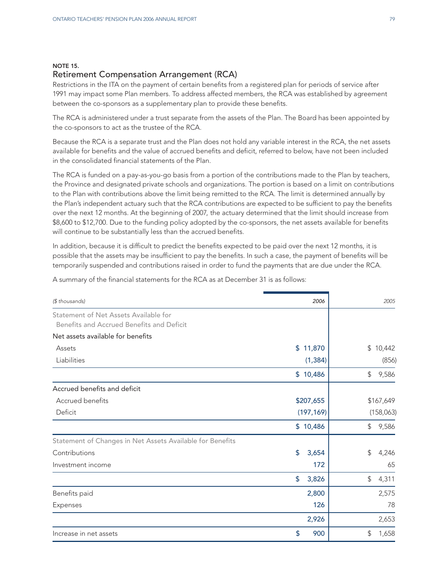#### NOTE 15.

## Retirement Compensation Arrangement (RCA)

Restrictions in the ITA on the payment of certain benefits from a registered plan for periods of service after 1991 may impact some Plan members. To address affected members, the RCA was established by agreement between the co-sponsors as a supplementary plan to provide these benefits.

The RCA is administered under a trust separate from the assets of the Plan. The Board has been appointed by the co-sponsors to act as the trustee of the RCA.

Because the RCA is a separate trust and the Plan does not hold any variable interest in the RCA, the net assets available for benefits and the value of accrued benefits and deficit, referred to below, have not been included in the consolidated financial statements of the Plan.

The RCA is funded on a pay-as-you-go basis from a portion of the contributions made to the Plan by teachers, the Province and designated private schools and organizations. The portion is based on a limit on contributions to the Plan with contributions above the limit being remitted to the RCA. The limit is determined annually by the Plan's independent actuary such that the RCA contributions are expected to be sufficient to pay the benefits over the next 12 months. At the beginning of 2007, the actuary determined that the limit should increase from \$8,600 to \$12,700. Due to the funding policy adopted by the co-sponsors, the net assets available for benefits will continue to be substantially less than the accrued benefits.

In addition, because it is difficult to predict the benefits expected to be paid over the next 12 months, it is possible that the assets may be insufficient to pay the benefits. In such a case, the payment of benefits will be temporarily suspended and contributions raised in order to fund the payments that are due under the RCA.

| (\$ thousands)                                            | 2006        | 2005         |
|-----------------------------------------------------------|-------------|--------------|
| Statement of Net Assets Available for                     |             |              |
| Benefits and Accrued Benefits and Deficit                 |             |              |
| Net assets available for benefits                         |             |              |
| Assets                                                    | \$11,870    | \$<br>10,442 |
| Liabilities                                               | (1, 384)    | (856)        |
|                                                           | \$10,486    | 9,586<br>\$  |
| Accrued benefits and deficit                              |             |              |
| Accrued benefits                                          | \$207,655   | \$167,649    |
| Deficit                                                   | (197, 169)  | (158,063)    |
|                                                           | \$10,486    | 9,586<br>\$  |
| Statement of Changes in Net Assets Available for Benefits |             |              |
| Contributions                                             | \$<br>3,654 | \$<br>4,246  |
| Investment income                                         | 172         | 65           |
|                                                           | \$<br>3,826 | \$<br>4,311  |
| Benefits paid                                             | 2,800       | 2,575        |
| Expenses                                                  | 126         | 78           |
|                                                           | 2,926       | 2,653        |
| Increase in net assets                                    | \$<br>900   | \$<br>1,658  |

A summary of the financial statements for the RCA as at December 31 is as follows: